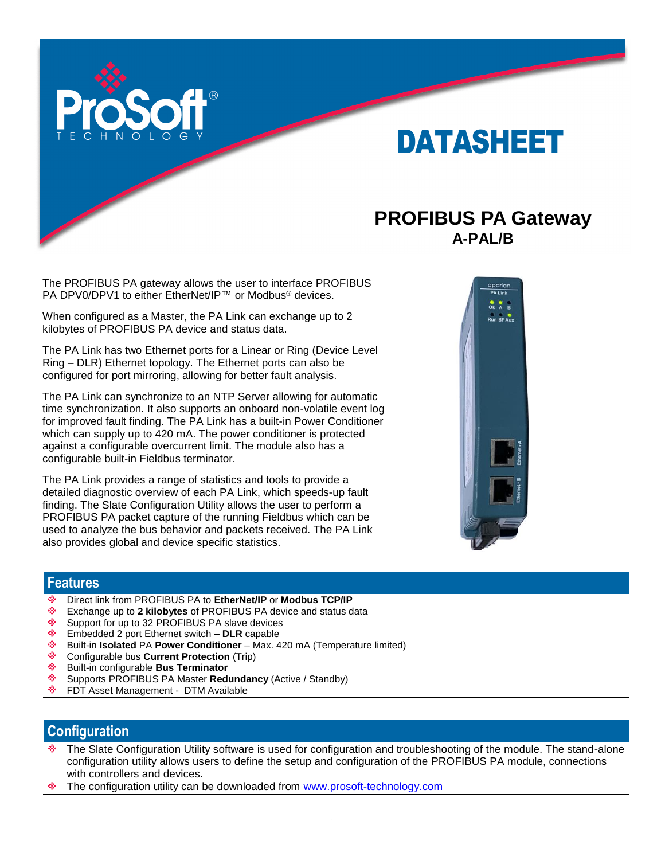

# DATASHEET

## **PROFIBUS PA Gateway A-PAL/B**

The PROFIBUS PA gateway allows the user to interface PROFIBUS PA DPV0/DPV1 to either EtherNet/IP™ or Modbus<sup>®</sup> devices.

When configured as a Master, the PA Link can exchange up to 2 kilobytes of PROFIBUS PA device and status data.

The PA Link has two Ethernet ports for a Linear or Ring (Device Level Ring – DLR) Ethernet topology. The Ethernet ports can also be configured for port mirroring, allowing for better fault analysis.

The PA Link can synchronize to an NTP Server allowing for automatic time synchronization. It also supports an onboard non-volatile event log for improved fault finding. The PA Link has a built-in Power Conditioner which can supply up to 420 mA. The power conditioner is protected against a configurable overcurrent limit. The module also has a configurable built-in Fieldbus terminator.

The PA Link provides a range of statistics and tools to provide a detailed diagnostic overview of each PA Link, which speeds-up fault finding. The Slate Configuration Utility allows the user to perform a PROFIBUS PA packet capture of the running Fieldbus which can be used to analyze the bus behavior and packets received. The PA Link also provides global and device specific statistics.



#### **Features**

- ٠ Direct link from PROFIBUS PA to **EtherNet/IP** or **Modbus TCP/IP**
- ٤ Exchange up to **2 kilobytes** of PROFIBUS PA device and status data
- ٠ Support for up to 32 PROFIBUS PA slave devices
- ٠ Embedded 2 port Ethernet switch – **DLR** capable
- ٠ Built-in **Isolated** PA **Power Conditioner** – Max. 420 mA (Temperature limited)
- ٠ Configurable bus **Current Protection** (Trip)
- ÷. Built-in configurable **Bus Terminator**
- alian. Supports PROFIBUS PA Master **Redundancy** (Active / Standby)
- eller i FDT Asset Management - DTM Available

### **Configuration**

- The Slate Configuration Utility software is used for configuration and troubleshooting of the module. The stand-alone configuration utility allows users to define the setup and configuration of the PROFIBUS PA module, connections with controllers and devices.
- The configuration utility can be downloaded from [www.prosoft-technology.com](http://www.prosoft-technology.com/)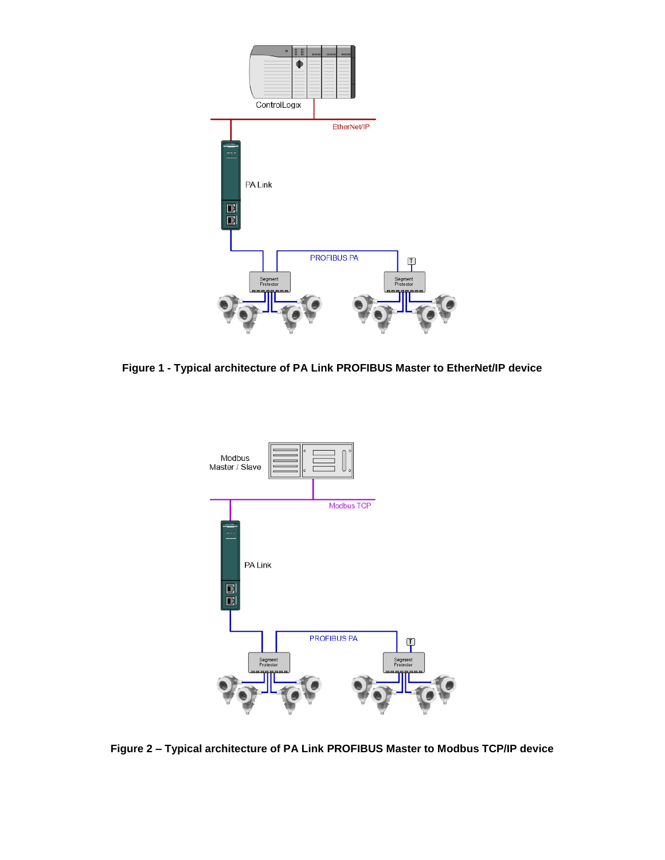

**Figure 1 - Typical architecture of PA Link PROFIBUS Master to EtherNet/IP device**



**Figure 2 – Typical architecture of PA Link PROFIBUS Master to Modbus TCP/IP device**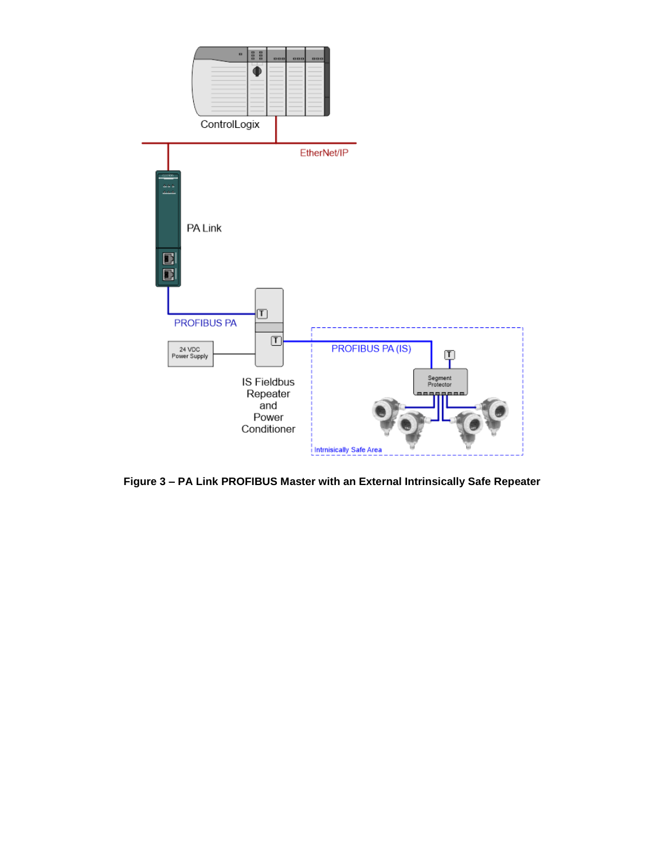

**Figure 3 – PA Link PROFIBUS Master with an External Intrinsically Safe Repeater**